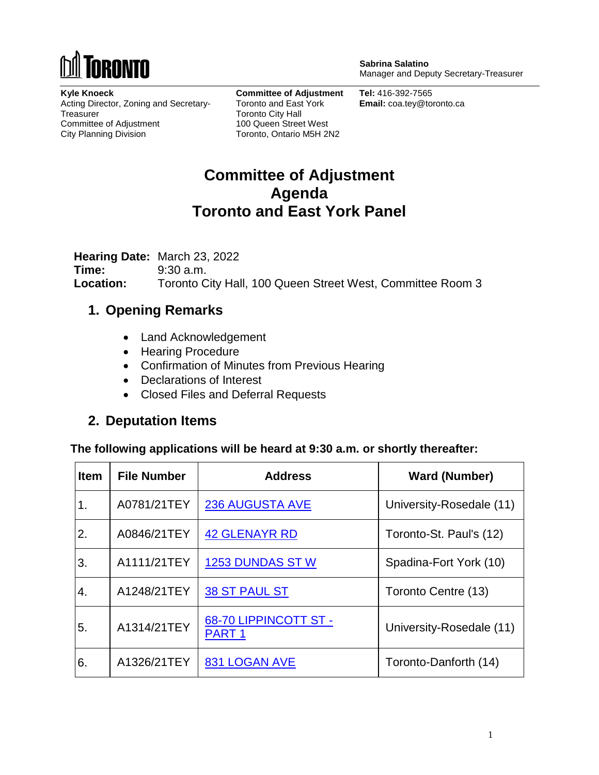

**Sabrina Salatino** Manager and Deputy Secretary-Treasurer

**Kyle Knoeck** Acting Director, Zoning and Secretary-**Treasurer** Committee of Adjustment City Planning Division

**Committee of Adjustment** Toronto and East York Toronto City Hall 100 Queen Street West Toronto, Ontario M5H 2N2

**Tel:** 416-392-7565 **Email:** coa.tey@toronto.ca

# **Committee of Adjustment Agenda Toronto and East York Panel**

**Hearing Date:** March 23, 2022 **Time:** 9:30 a.m. **Location:** Toronto City Hall, 100 Queen Street West, Committee Room 3

### **1. Opening Remarks**

- Land Acknowledgement
- Hearing Procedure
- Confirmation of Minutes from Previous Hearing
- Declarations of Interest
- Closed Files and Deferral Requests

### **2. Deputation Items**

**The following applications will be heard at 9:30 a.m. or shortly thereafter:**

| <b>Item</b> | <b>File Number</b> | <b>Address</b>                             | <b>Ward (Number)</b>     |
|-------------|--------------------|--------------------------------------------|--------------------------|
| 1.          | A0781/21TEY        | <b>236 AUGUSTA AVE</b>                     | University-Rosedale (11) |
| 2.          | A0846/21TEY        | <b>42 GLENAYR RD</b>                       | Toronto-St. Paul's (12)  |
| 3.          | A1111/21TEY        | <b>1253 DUNDAS ST W</b>                    | Spadina-Fort York (10)   |
| $\mathbf 4$ | A1248/21TEY        | <b>38 ST PAUL ST</b>                       | Toronto Centre (13)      |
| 5.          | A1314/21TEY        | 68-70 LIPPINCOTT ST -<br>PART <sub>1</sub> | University-Rosedale (11) |
| 6.          | A1326/21TEY        | <b>831 LOGAN AVE</b>                       | Toronto-Danforth (14)    |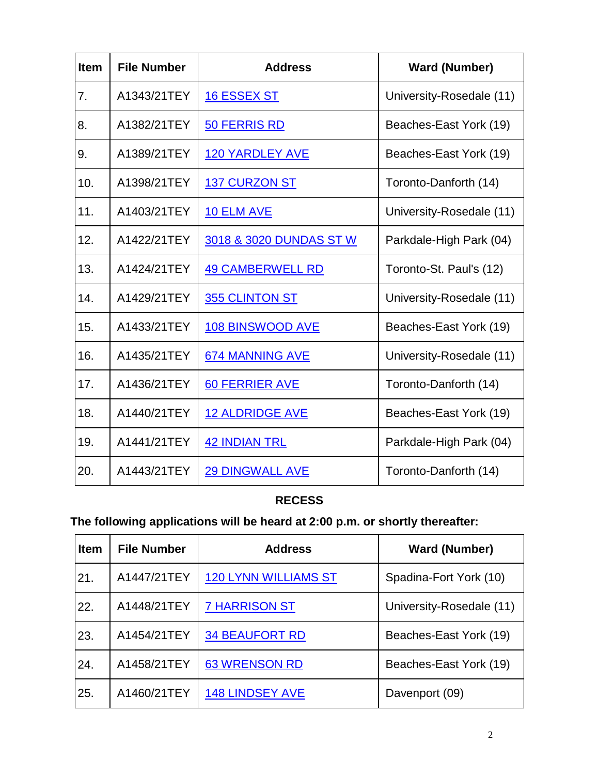| <b>Item</b> | <b>File Number</b> | <b>Address</b>          | <b>Ward (Number)</b>     |
|-------------|--------------------|-------------------------|--------------------------|
| 7.          | A1343/21TEY        | <b>16 ESSEX ST</b>      | University-Rosedale (11) |
| 8.          | A1382/21TEY        | <b>50 FERRIS RD</b>     | Beaches-East York (19)   |
| 9.          | A1389/21TEY        | <b>120 YARDLEY AVE</b>  | Beaches-East York (19)   |
| 10.         | A1398/21TEY        | <b>137 CURZON ST</b>    | Toronto-Danforth (14)    |
| 11.         | A1403/21TEY        | <b>10 ELM AVE</b>       | University-Rosedale (11) |
| 12.         | A1422/21TEY        | 3018 & 3020 DUNDAS ST W | Parkdale-High Park (04)  |
| 13.         | A1424/21TEY        | <b>49 CAMBERWELL RD</b> | Toronto-St. Paul's (12)  |
| 14.         | A1429/21TEY        | 355 CLINTON ST          | University-Rosedale (11) |
| 15.         | A1433/21TEY        | <b>108 BINSWOOD AVE</b> | Beaches-East York (19)   |
| 16.         | A1435/21TEY        | <b>674 MANNING AVE</b>  | University-Rosedale (11) |
| 17.         | A1436/21TEY        | <b>60 FERRIER AVE</b>   | Toronto-Danforth (14)    |
| 18.         | A1440/21TEY        | <b>12 ALDRIDGE AVE</b>  | Beaches-East York (19)   |
| 19.         | A1441/21TEY        | <b>42 INDIAN TRL</b>    | Parkdale-High Park (04)  |
| 20.         | A1443/21TEY        | <b>29 DINGWALL AVE</b>  | Toronto-Danforth (14)    |

## **RECESS**

# **The following applications will be heard at 2:00 p.m. or shortly thereafter:**

| <b>Item</b> | <b>File Number</b> | <b>Address</b>              | <b>Ward (Number)</b>     |
|-------------|--------------------|-----------------------------|--------------------------|
| 21.         | A1447/21TEY        | <b>120 LYNN WILLIAMS ST</b> | Spadina-Fort York (10)   |
| 22.         | A1448/21TEY        | <b>7 HARRISON ST</b>        | University-Rosedale (11) |
| 23.         | A1454/21TEY        | <b>34 BEAUFORT RD</b>       | Beaches-East York (19)   |
| 24.         | A1458/21TEY        | <b>63 WRENSON RD</b>        | Beaches-East York (19)   |
| 25.         | A1460/21TEY        | <b>148 LINDSEY AVE</b>      | Davenport (09)           |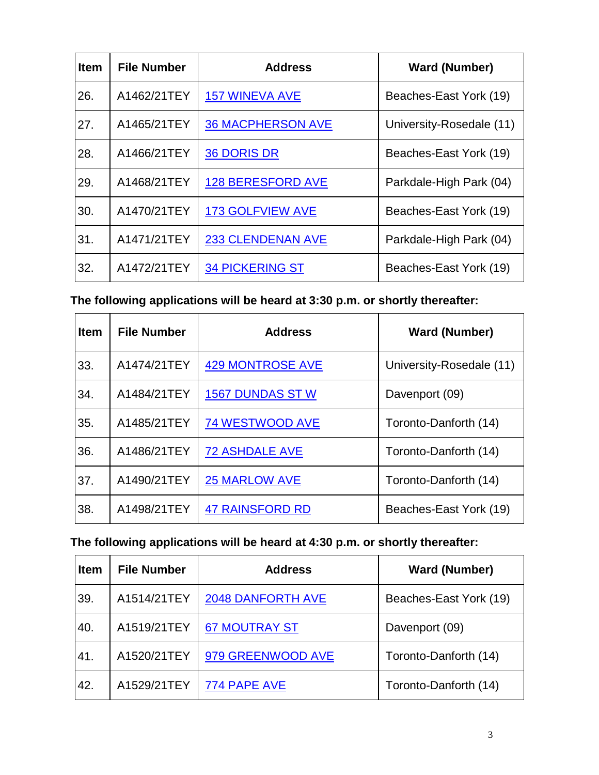| <b>Item</b> | <b>File Number</b> | <b>Address</b>           | <b>Ward (Number)</b>     |
|-------------|--------------------|--------------------------|--------------------------|
| 26.         | A1462/21TEY        | <b>157 WINEVA AVE</b>    | Beaches-East York (19)   |
| 27.         | A1465/21TEY        | <b>36 MACPHERSON AVE</b> | University-Rosedale (11) |
| 28.         | A1466/21TEY        | <b>36 DORIS DR</b>       | Beaches-East York (19)   |
| 29.         | A1468/21TEY        | <b>128 BERESFORD AVE</b> | Parkdale-High Park (04)  |
| 30.         | A1470/21TEY        | <b>173 GOLFVIEW AVE</b>  | Beaches-East York (19)   |
| 31.         | A1471/21TEY        | <b>233 CLENDENAN AVE</b> | Parkdale-High Park (04)  |
| 32.         | A1472/21TEY        | <b>34 PICKERING ST</b>   | Beaches-East York (19)   |

**The following applications will be heard at 3:30 p.m. or shortly thereafter:**

| <b>Item</b> | <b>File Number</b> | <b>Address</b>          | <b>Ward (Number)</b>     |
|-------------|--------------------|-------------------------|--------------------------|
| 33.         | A1474/21TEY        | <b>429 MONTROSE AVE</b> | University-Rosedale (11) |
| 34.         | A1484/21TEY        | <b>1567 DUNDAS ST W</b> | Davenport (09)           |
| 35.         | A1485/21TEY        | <b>74 WESTWOOD AVE</b>  | Toronto-Danforth (14)    |
| 36.         | A1486/21TEY        | <b>72 ASHDALE AVE</b>   | Toronto-Danforth (14)    |
| 37.         | A1490/21TEY        | <b>25 MARLOW AVE</b>    | Toronto-Danforth (14)    |
| 38.         | A1498/21TEY        | <b>47 RAINSFORD RD</b>  | Beaches-East York (19)   |

### **The following applications will be heard at 4:30 p.m. or shortly thereafter:**

| <b>Item</b> | <b>File Number</b> | <b>Address</b>           | <b>Ward (Number)</b>   |
|-------------|--------------------|--------------------------|------------------------|
| 39.         | A1514/21TEY        | <b>2048 DANFORTH AVE</b> | Beaches-East York (19) |
| 40.         | A1519/21TEY        | <b>67 MOUTRAY ST</b>     | Davenport (09)         |
| 41.         | A1520/21TEY        | 979 GREENWOOD AVE        | Toronto-Danforth (14)  |
| 42.         | A1529/21TEY        | 774 PAPE AVE             | Toronto-Danforth (14)  |